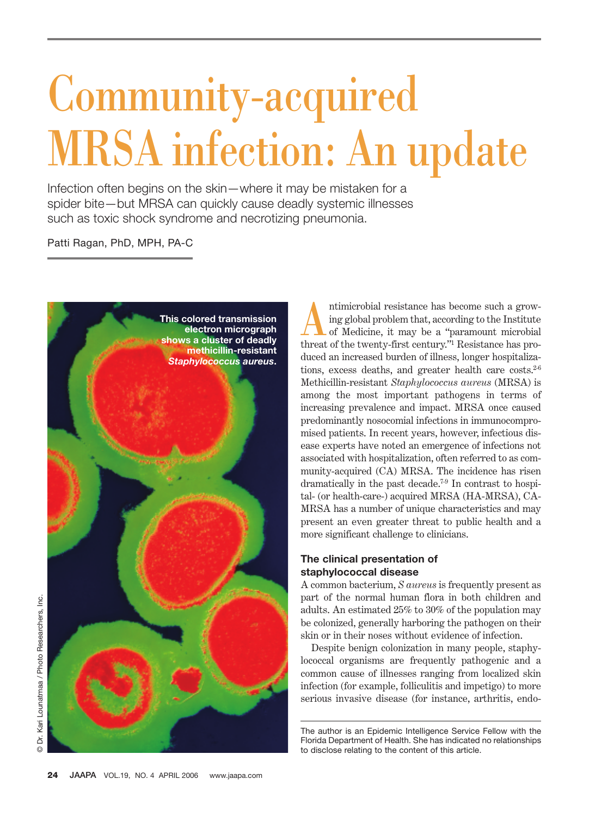# Community-acquired MRSA infection: An update

Infection often begins on the skin—where it may be mistaken for a spider bite—but MRSA can quickly cause deadly systemic illnesses such as toxic shock syndrome and necrotizing pneumonia.

Patti Ragan, PhD, MPH, PA-C



Antimicrobial resistance has become such a growing global problem that, according to the Institute of Medicine, it may be a "paramount microbial" ing global problem that, according to the Institute of Medicine, it may be a "paramount microbial threat of the twenty-first century."1 Resistance has produced an increased burden of illness, longer hospitalizations, excess deaths, and greater health care costs.<sup>2-6</sup> Methicillin-resistant *Staphylococcus aureus* (MRSA) is among the most important pathogens in terms of increasing prevalence and impact. MRSA once caused predominantly nosocomial infections in immunocompromised patients. In recent years, however, infectious disease experts have noted an emergence of infections not associated with hospitalization, often referred to as community-acquired (CA) MRSA. The incidence has risen dramatically in the past decade.7-9 In contrast to hospital- (or health-care-) acquired MRSA (HA-MRSA), CA-MRSA has a number of unique characteristics and may present an even greater threat to public health and a more significant challenge to clinicians.

#### **The clinical presentation of staphylococcal disease**

A common bacterium, *S aureus* is frequently present as part of the normal human flora in both children and adults. An estimated 25% to 30% of the population may be colonized, generally harboring the pathogen on their skin or in their noses without evidence of infection.

Despite benign colonization in many people, staphylococcal organisms are frequently pathogenic and a common cause of illnesses ranging from localized skin infection (for example, folliculitis and impetigo) to more serious invasive disease (for instance, arthritis, endo-

The author is an Epidemic Intelligence Service Fellow with the Florida Department of Health. She has indicated no relationships to disclose relating to the content of this article.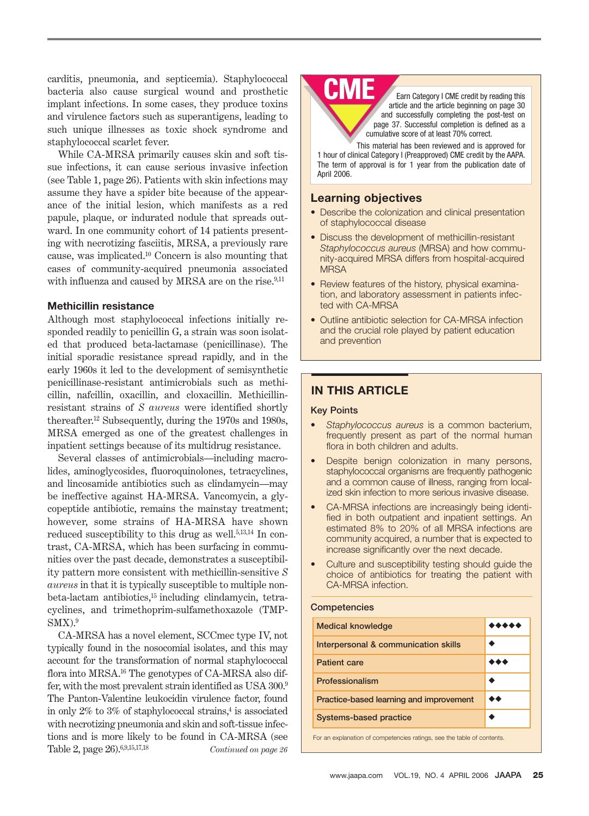carditis, pneumonia, and septicemia). Staphylococcal bacteria also cause surgical wound and prosthetic implant infections. In some cases, they produce toxins and virulence factors such as superantigens, leading to such unique illnesses as toxic shock syndrome and staphylococcal scarlet fever.

While CA-MRSA primarily causes skin and soft tissue infections, it can cause serious invasive infection (see Table 1, page 26). Patients with skin infections may assume they have a spider bite because of the appearance of the initial lesion, which manifests as a red papule, plaque, or indurated nodule that spreads outward. In one community cohort of 14 patients presenting with necrotizing fasciitis, MRSA, a previously rare cause, was implicated.10 Concern is also mounting that cases of community-acquired pneumonia associated with influenza and caused by MRSA are on the rise.<sup>9,11</sup>

#### **Methicillin resistance**

Although most staphylococcal infections initially responded readily to penicillin G, a strain was soon isolated that produced beta-lactamase (penicillinase). The initial sporadic resistance spread rapidly, and in the early 1960s it led to the development of semisynthetic penicillinase-resistant antimicrobials such as methicillin, nafcillin, oxacillin, and cloxacillin. Methicillinresistant strains of *S aureus* were identified shortly thereafter. <sup>12</sup> Subsequently, during the 1970s and 1980s, MRSA emerged as one of the greatest challenges in inpatient settings because of its multidrug resistance.

Several classes of antimicrobials—including macrolides, aminoglycosides, fluoroquinolones, tetracyclines, and lincosamide antibiotics such as clindamycin—may be ineffective against HA-MRSA. Vancomycin, a glycopeptide antibiotic, remains the mainstay treatment; however, some strains of HA-MRSA have shown reduced susceptibility to this drug as well.<sup>5,13,14</sup> In contrast, CA-MRSA, which has been surfacing in communities over the past decade, demonstrates a susceptibility pattern more consistent with methicillin-sensitive *S aureus* in that it is typically susceptible to multiple nonbeta-lactam antibiotics,15 including clindamycin, tetracyclines, and trimethoprim-sulfamethoxazole (TMP- $SMX$ ).<sup>9</sup>

CA-MRSA has a novel element, SCCmec type IV, not typically found in the nosocomial isolates, and this may account for the transformation of normal staphylococcal flora into MRSA.16 The genotypes of CA-MRSA also differ, with the most prevalent strain identified as USA 300.9 The Panton-Valentine leukocidin virulence factor, found in only  $2\%$  to  $3\%$  of staphylococcal strains,<sup>4</sup> is associated with necrotizing pneumonia and skin and soft-tissue infections and is more likely to be found in CA-MRSA (see Table 2, page 26).6,9,15,17,18 *Continued on page 26*

## **CME**

Earn Category I CME credit by reading this article and the article beginning on page 30 and successfully completing the post-test on page 37. Successful completion is defined as a cumulative score of at least 70% correct.

This material has been reviewed and is approved for 1 hour of clinical Category I (Preapproved) CME credit by the AAPA. The term of approval is for 1 year from the publication date of April 2006.

#### **Learning objectives**

- Describe the colonization and clinical presentation of staphylococcal disease
- Discuss the development of methicillin-resistant *Staphylococcus aureus* (MRSA) and how community-acquired MRSA differs from hospital-acquired **MRSA**
- Review features of the history, physical examination, and laboratory assessment in patients infected with CA-MRSA
- Outline antibiotic selection for CA-MRSA infection and the crucial role played by patient education and prevention

#### **IN THIS ARTICLE**

#### **Key Points**

- *Staphylococcus aureus* is a common bacterium, frequently present as part of the normal human flora in both children and adults.
- Despite benign colonization in many persons, staphylococcal organisms are frequently pathogenic and a common cause of illness, ranging from localized skin infection to more serious invasive disease.
- CA-MRSA infections are increasingly being identified in both outpatient and inpatient settings. An estimated 8% to 20% of all MRSA infections are community acquired, a number that is expected to increase significantly over the next decade.
- Culture and susceptibility testing should guide the choice of antibiotics for treating the patient with CA-MRSA infection.

#### **Competencies**

| 50 |
|----|
|    |
|    |

For an explanation of competencies ratings, see the table of contents.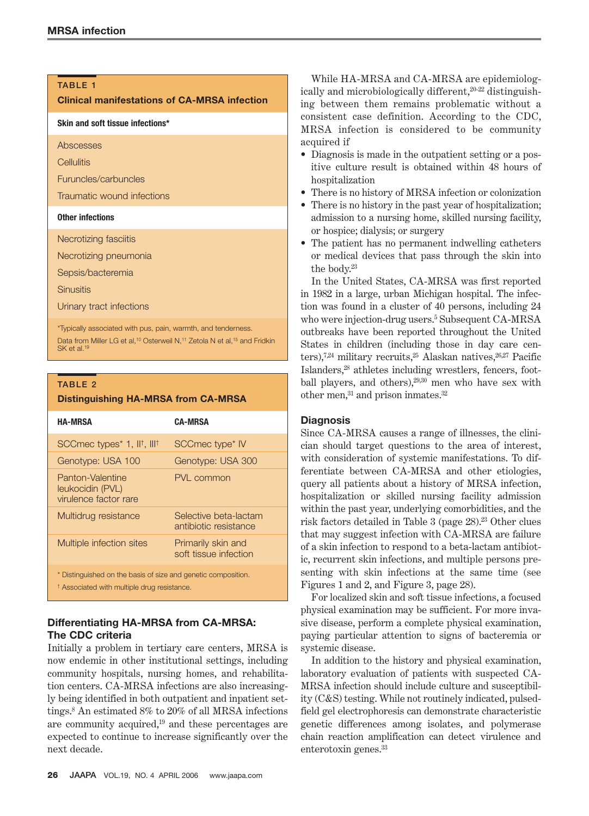#### **TABLE 1**

#### **Clinical manifestations of CA-MRSA infection**

**Skin and soft tissue infections\***

Abscesses

**Cellulitis** 

Furuncles/carbuncles

Traumatic wound infections

#### **Other infections**

Necrotizing fasciitis

Necrotizing pneumonia

Sepsis/bacteremia

**Sinusitis** 

Urinary tract infections

\*Typically associated with pus, pain, warmth, and tenderness. Data from Miller LG et al,<sup>10</sup> Osterweil N,<sup>11</sup> Zetola N et al,<sup>15</sup> and Fridkin SK et al.

#### **TABLE 2**

#### **Distinguishing HA-MRSA from CA-MRSA**

|                                                                                                                         | <b>HA-MRSA</b>                                                  | CA-MRSA                                        |
|-------------------------------------------------------------------------------------------------------------------------|-----------------------------------------------------------------|------------------------------------------------|
|                                                                                                                         | SCCmec types <sup>*</sup> 1, II <sup>†</sup> , III <sup>†</sup> | SCCmec type <sup>*</sup> IV                    |
|                                                                                                                         | Genotype: USA 100                                               | Genotype: USA 300                              |
|                                                                                                                         | Panton-Valentine<br>leukocidin (PVL)<br>virulence factor rare   | PVL common                                     |
|                                                                                                                         | Multidrug resistance                                            | Selective beta-lactam<br>antibiotic resistance |
|                                                                                                                         | Multiple infection sites                                        | Primarily skin and<br>soft tissue infection    |
| * Distinguished on the basis of size and genetic composition.<br><sup>†</sup> Associated with multiple drug resistance. |                                                                 |                                                |

### **Differentiating HA-MRSA from CA-MRSA:**

#### **The CDC criteria**

Initially a problem in tertiary care centers, MRSA is now endemic in other institutional settings, including community hospitals, nursing homes, and rehabilitation centers. CA-MRSA infections are also increasingly being identified in both outpatient and inpatient settings.8 An estimated 8% to 20% of all MRSA infections are community acquired,19 and these percentages are expected to continue to increase significantly over the next decade.

While HA-MRSA and CA-MRSA are epidemiologically and microbiologically different,<sup>20-22</sup> distinguishing between them remains problematic without a consistent case definition. According to the CDC, MRSA infection is considered to be community acquired if

- Diagnosis is made in the outpatient setting or a positive culture result is obtained within 48 hours of hospitalization
- There is no history of MRSA infection or colonization
- There is no history in the past year of hospitalization; admission to a nursing home, skilled nursing facility, or hospice; dialysis; or surgery
- The patient has no permanent indwelling catheters or medical devices that pass through the skin into the body.23

In the United States, CA-MRSA was first reported in 1982 in a large, urban Michigan hospital. The infection was found in a cluster of 40 persons, including 24 who were injection-drug users.5 Subsequent CA-MRSA outbreaks have been reported throughout the United States in children (including those in day care centers),<sup>7,24</sup> military recruits,<sup>25</sup> Alaskan natives,<sup>26,27</sup> Pacific Islanders,28 athletes including wrestlers, fencers, football players, and others),29,30 men who have sex with other men,<sup>31</sup> and prison inmates.<sup>32</sup>

#### **Diagnosis**

Since CA-MRSA causes a range of illnesses, the clinician should target questions to the area of interest, with consideration of systemic manifestations. To differentiate between CA-MRSA and other etiologies, query all patients about a history of MRSA infection, hospitalization or skilled nursing facility admission within the past year, underlying comorbidities, and the risk factors detailed in Table 3 (page 28).<sup>23</sup> Other clues that may suggest infection with CA-MRSA are failure of a skin infection to respond to a beta-lactam antibiotic, recurrent skin infections, and multiple persons presenting with skin infections at the same time (see Figures 1 and 2, and Figure 3, page 28).

For localized skin and soft tissue infections, a focused physical examination may be sufficient. For more invasive disease, perform a complete physical examination, paying particular attention to signs of bacteremia or systemic disease.

In addition to the history and physical examination, laboratory evaluation of patients with suspected CA-MRSA infection should include culture and susceptibility (C&S) testing. While not routinely indicated, pulsedfield gel electrophoresis can demonstrate characteristic genetic differences among isolates, and polymerase chain reaction amplification can detect virulence and enterotoxin genes.33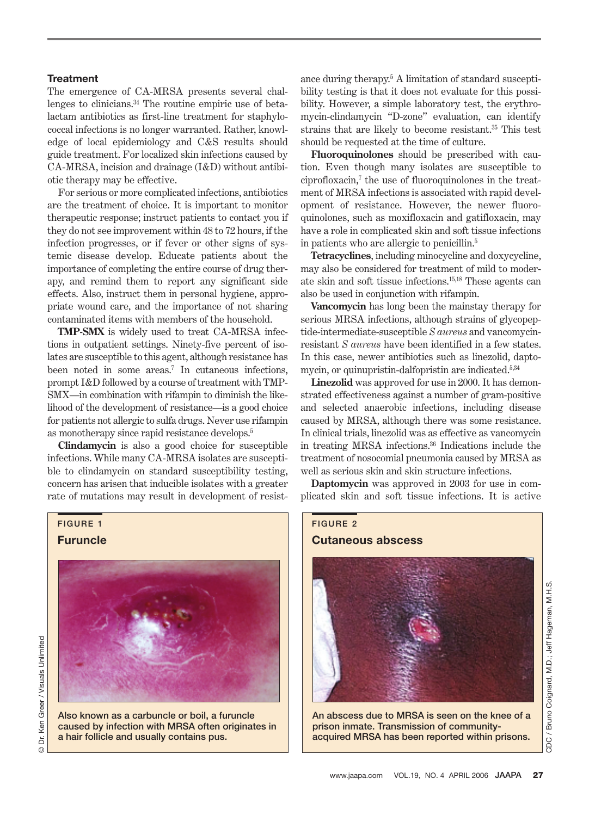#### **Treatment**

The emergence of CA-MRSA presents several challenges to clinicians.34 The routine empiric use of betalactam antibiotics as first-line treatment for staphylococcal infections is no longer warranted. Rather, knowledge of local epidemiology and C&S results should guide treatment. For localized skin infections caused by CA-MRSA, incision and drainage (I&D) without antibiotic therapy may be effective.

For serious or more complicated infections, antibiotics are the treatment of choice. It is important to monitor therapeutic response; instruct patients to contact you if they do not see improvement within 48 to 72 hours, if the infection progresses, or if fever or other signs of systemic disease develop. Educate patients about the importance of completing the entire course of drug therapy, and remind them to report any significant side effects. Also, instruct them in personal hygiene, appropriate wound care, and the importance of not sharing contaminated items with members of the household.

**TMP-SMX** is widely used to treat CA-MRSA infections in outpatient settings. Ninety-five percent of isolates are susceptible to this agent, although resistance has been noted in some areas.<sup>7</sup> In cutaneous infections, prompt I&D followed by a course of treatment with TMP-SMX—in combination with rifampin to diminish the likelihood of the development of resistance—is a good choice for patients not allergic to sulfa drugs. Never use rifampin as monotherapy since rapid resistance develops.5

**Clindamycin** is also a good choice for susceptible infections. While many CA-MRSA isolates are susceptible to clindamycin on standard susceptibility testing, concern has arisen that inducible isolates with a greater rate of mutations may result in development of resist-

**FIGURE 1**

**Furuncle**



**Also known as a carbuncle or boil, a furuncle caused by infection with MRSA often originates in a hair follicle and usually contains pus.**

ance during therapy.5 A limitation of standard susceptibility testing is that it does not evaluate for this possibility. However, a simple laboratory test, the erythromycin-clindamycin "D-zone" evaluation, can identify strains that are likely to become resistant.35 This test should be requested at the time of culture.

**Fluoroquinolones** should be prescribed with caution. Even though many isolates are susceptible to ciprofloxacin,7 the use of fluoroquinolones in the treatment of MRSA infections is associated with rapid development of resistance. However, the newer fluoroquinolones, such as moxifloxacin and gatifloxacin, may have a role in complicated skin and soft tissue infections in patients who are allergic to penicillin.5

**Tetracyclines**, including minocycline and doxycycline, may also be considered for treatment of mild to moderate skin and soft tissue infections.15,18 These agents can also be used in conjunction with rifampin.

**Vancomycin** has long been the mainstay therapy for serious MRSA infections, although strains of glycopeptide-intermediate-susceptible *S aureus* and vancomycinresistant *S aureus* have been identified in a few states. In this case, newer antibiotics such as linezolid, daptomycin, or quinupristin-dalfopristin are indicated.5,34

**Linezolid** was approved for use in 2000. It has demonstrated effectiveness against a number of gram-positive and selected anaerobic infections, including disease caused by MRSA, although there was some resistance. In clinical trials, linezolid was as effective as vancomycin in treating MRSA infections.36 Indications include the treatment of nosocomial pneumonia caused by MRSA as well as serious skin and skin structure infections.

**Daptomycin** was approved in 2003 for use in complicated skin and soft tissue infections. It is active



**An abscess due to MRSA is seen on the knee of a prison inmate. Transmission of communityacquired MRSA has been reported within prisons.**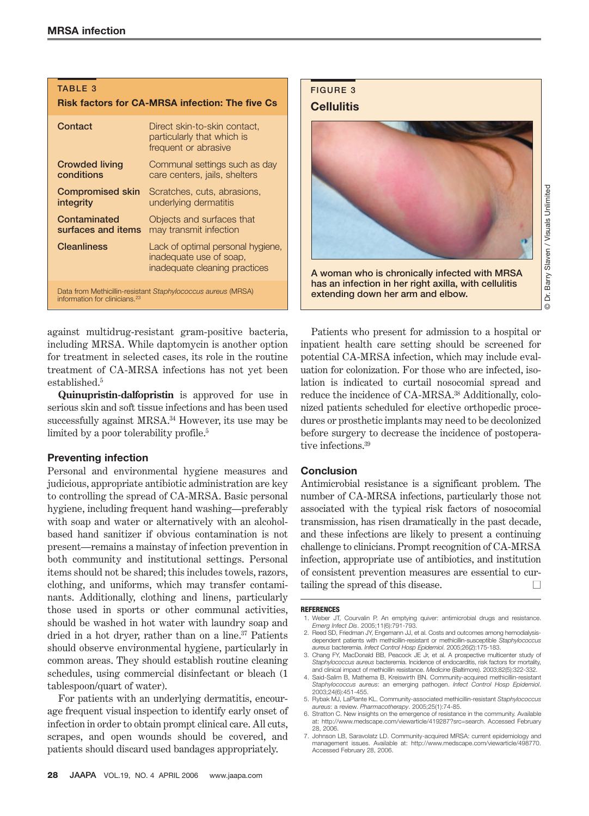#### **TABLE 3**

#### **Risk factors for CA-MRSA infection: The five Cs**

| Contact                                                                                                   | Direct skin-to-skin contact,<br>particularly that which is<br>frequent or abrasive            |  |
|-----------------------------------------------------------------------------------------------------------|-----------------------------------------------------------------------------------------------|--|
| <b>Crowded living</b>                                                                                     | Communal settings such as day                                                                 |  |
| conditions                                                                                                | care centers, jails, shelters                                                                 |  |
| <b>Compromised skin</b>                                                                                   | Scratches, cuts, abrasions,                                                                   |  |
| integrity                                                                                                 | underlying dermatitis                                                                         |  |
| Contaminated                                                                                              | Objects and surfaces that                                                                     |  |
| surfaces and items                                                                                        | may transmit infection                                                                        |  |
| <b>Cleanliness</b>                                                                                        | Lack of optimal personal hygiene,<br>inadequate use of soap,<br>inadequate cleaning practices |  |
| Data from Methicillin-resistant Staphylococcus aureus (MRSA)<br>information for clinicians. <sup>23</sup> |                                                                                               |  |

against multidrug-resistant gram-positive bacteria, including MRSA. While daptomycin is another option for treatment in selected cases, its role in the routine treatment of CA-MRSA infections has not yet been established.5

**Quinupristin-dalfopristin** is approved for use in serious skin and soft tissue infections and has been used successfully against MRSA.<sup>34</sup> However, its use may be limited by a poor tolerability profile.<sup>5</sup>

#### **Preventing infection**

Personal and environmental hygiene measures and judicious, appropriate antibiotic administration are key to controlling the spread of CA-MRSA. Basic personal hygiene, including frequent hand washing—preferably with soap and water or alternatively with an alcoholbased hand sanitizer if obvious contamination is not present—remains a mainstay of infection prevention in both community and institutional settings. Personal items should not be shared; this includes towels, razors, clothing, and uniforms, which may transfer contaminants. Additionally, clothing and linens, particularly those used in sports or other communal activities, should be washed in hot water with laundry soap and dried in a hot dryer, rather than on a line.<sup>37</sup> Patients should observe environmental hygiene, particularly in common areas. They should establish routine cleaning schedules, using commercial disinfectant or bleach (1 tablespoon/quart of water).

For patients with an underlying dermatitis, encourage frequent visual inspection to identify early onset of infection in order to obtain prompt clinical care. All cuts, scrapes, and open wounds should be covered, and patients should discard used bandages appropriately.



© Dr. Barry Slaven / Visuals Unlimited Barry Slaven / Visuals Unlimited ă  $\odot$ 

Patients who present for admission to a hospital or inpatient health care setting should be screened for potential CA-MRSA infection, which may include evaluation for colonization. For those who are infected, isolation is indicated to curtail nosocomial spread and reduce the incidence of CA-MRSA.<sup>38</sup> Additionally, colonized patients scheduled for elective orthopedic procedures or prosthetic implants may need to be decolonized before surgery to decrease the incidence of postoperative infections.<sup>39</sup>

#### **Conclusion**

Antimicrobial resistance is a significant problem. The number of CA-MRSA infections, particularly those not associated with the typical risk factors of nosocomial transmission, has risen dramatically in the past decade, and these infections are likely to present a continuing challenge to clinicians. Prompt recognition of CA-MRSA infection, appropriate use of antibiotics, and institution of consistent prevention measures are essential to curtailing the spread of this disease. **■**

#### **REFERENCES**

- 1. Weber JT, Courvalin P. An emptying quiver: antimicrobial drugs and resistance. *Emerg Infect Dis*. 2005;11(6):791-793.
- 2. Reed SD, Friedman JY, Engemann JJ, et al. Costs and outcomes among hemodialysisdependent patients with methicillin-resistant or methicillin-susceptible *Staphylococcus aureus* bacteremia. *Infect Control Hosp Epidemiol*. 2005;26(2):175-183.
- 3. Chang FY, MacDonald BB, Peacock JE Jr, et al. A prospective multicenter study of *Staphylococcus aureus* bacteremia. Incidence of endocarditis, risk factors for mortality, and clinical impact of methicillin resistance. *Medicine* (Baltimore). 2003;82(5):322-332.
- 4. Said-Salim B, Mathema B, Kreiswirth BN. Community-acquired methicillin-resistant *Staphylococcus aureus*: an emerging pathogen. *Infect Control Hosp Epidemiol*. 2003;24(6):451-455.
- 5. Rybak MJ, LaPlante KL. Community-associated methicillin-resistant *Staphylococcus aureus*: a review. *Pharmacotherapy*. 2005;25(1):74-85.
- 6. Stratton C. New insights on the emergence of resistance in the community. Available at: http://www.medscape.com/viewarticle/419287?src=search. Accessed February 28, 2006.
- 7. Johnson LB, Saravolatz LD. Community-acquired MRSA: current epidemiology and management issues. Available at: http://www.medscape.com/viewarticle/498770. Accessed February 28, 2006.